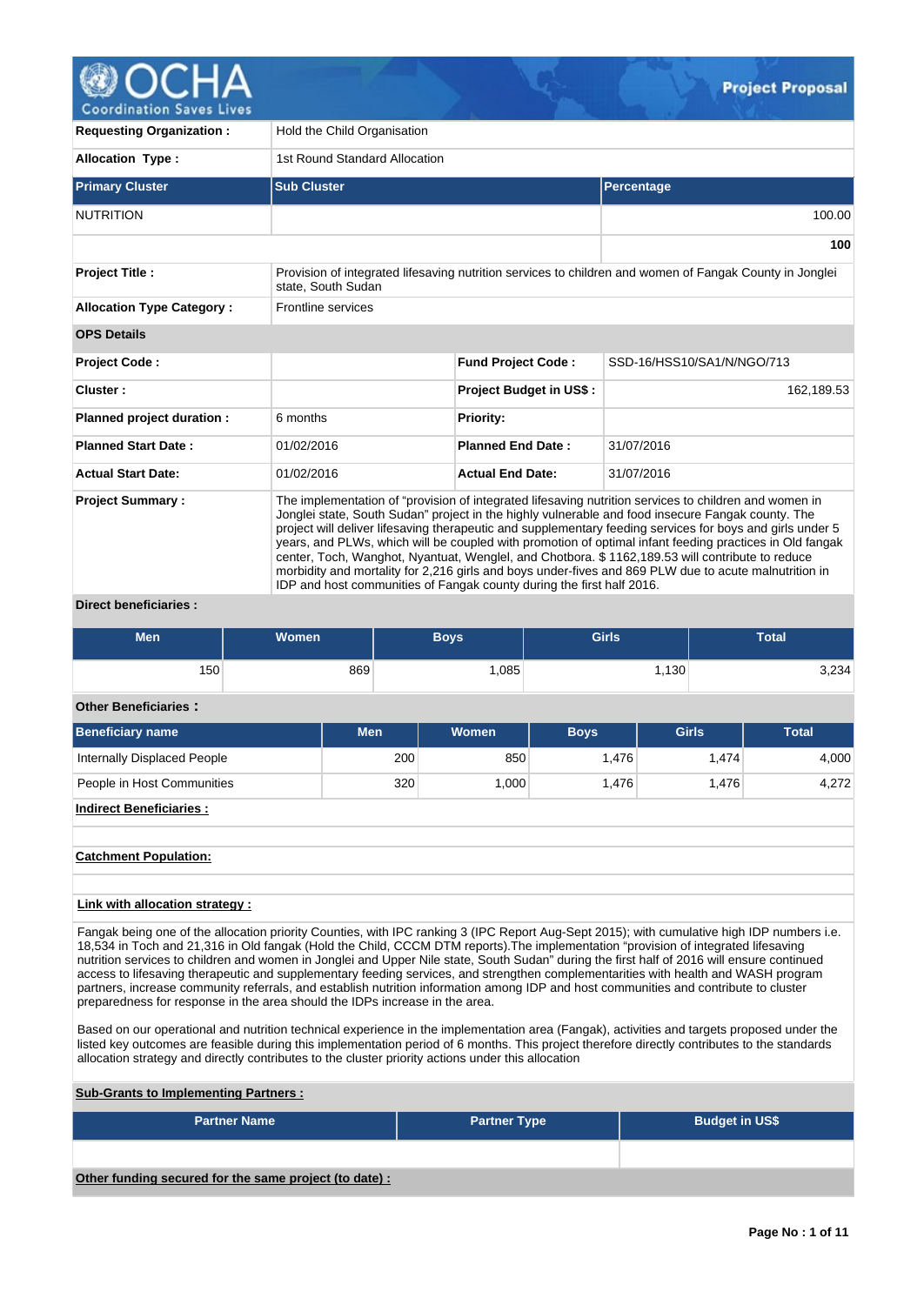

| <b>Requesting Organization:</b>  | Hold the Child Organisation   |                                                                                                                                                                                                                                                                                                                                                                                                                                                                                                                                                                                                                                                                                                                         |                                                                                                         |  |  |  |  |  |  |
|----------------------------------|-------------------------------|-------------------------------------------------------------------------------------------------------------------------------------------------------------------------------------------------------------------------------------------------------------------------------------------------------------------------------------------------------------------------------------------------------------------------------------------------------------------------------------------------------------------------------------------------------------------------------------------------------------------------------------------------------------------------------------------------------------------------|---------------------------------------------------------------------------------------------------------|--|--|--|--|--|--|
| <b>Allocation Type:</b>          | 1st Round Standard Allocation |                                                                                                                                                                                                                                                                                                                                                                                                                                                                                                                                                                                                                                                                                                                         |                                                                                                         |  |  |  |  |  |  |
| <b>Primary Cluster</b>           | <b>Sub Cluster</b>            |                                                                                                                                                                                                                                                                                                                                                                                                                                                                                                                                                                                                                                                                                                                         | <b>Percentage</b>                                                                                       |  |  |  |  |  |  |
| <b>NUTRITION</b>                 |                               |                                                                                                                                                                                                                                                                                                                                                                                                                                                                                                                                                                                                                                                                                                                         | 100.00                                                                                                  |  |  |  |  |  |  |
|                                  |                               |                                                                                                                                                                                                                                                                                                                                                                                                                                                                                                                                                                                                                                                                                                                         | 100                                                                                                     |  |  |  |  |  |  |
| <b>Project Title:</b>            | state. South Sudan            |                                                                                                                                                                                                                                                                                                                                                                                                                                                                                                                                                                                                                                                                                                                         | Provision of integrated lifesaving nutrition services to children and women of Fangak County in Jonglei |  |  |  |  |  |  |
| <b>Allocation Type Category:</b> | Frontline services            |                                                                                                                                                                                                                                                                                                                                                                                                                                                                                                                                                                                                                                                                                                                         |                                                                                                         |  |  |  |  |  |  |
| <b>OPS Details</b>               |                               |                                                                                                                                                                                                                                                                                                                                                                                                                                                                                                                                                                                                                                                                                                                         |                                                                                                         |  |  |  |  |  |  |
| <b>Project Code:</b>             |                               | <b>Fund Project Code:</b>                                                                                                                                                                                                                                                                                                                                                                                                                                                                                                                                                                                                                                                                                               | SSD-16/HSS10/SA1/N/NGO/713                                                                              |  |  |  |  |  |  |
| Cluster:                         |                               | <b>Project Budget in US\$:</b>                                                                                                                                                                                                                                                                                                                                                                                                                                                                                                                                                                                                                                                                                          | 162,189.53                                                                                              |  |  |  |  |  |  |
| Planned project duration :       | 6 months                      | <b>Priority:</b>                                                                                                                                                                                                                                                                                                                                                                                                                                                                                                                                                                                                                                                                                                        |                                                                                                         |  |  |  |  |  |  |
| <b>Planned Start Date:</b>       | 01/02/2016                    | <b>Planned End Date:</b>                                                                                                                                                                                                                                                                                                                                                                                                                                                                                                                                                                                                                                                                                                | 31/07/2016                                                                                              |  |  |  |  |  |  |
| <b>Actual Start Date:</b>        | 01/02/2016                    | <b>Actual End Date:</b>                                                                                                                                                                                                                                                                                                                                                                                                                                                                                                                                                                                                                                                                                                 | 31/07/2016                                                                                              |  |  |  |  |  |  |
| <b>Project Summary:</b>          |                               | The implementation of "provision of integrated lifesaving nutrition services to children and women in<br>Jonglei state, South Sudan" project in the highly vulnerable and food insecure Fangak county. The<br>project will deliver lifesaving therapeutic and supplementary feeding services for boys and girls under 5<br>years, and PLWs, which will be coupled with promotion of optimal infant feeding practices in Old fangak<br>center, Toch, Wanghot, Nyantuat, Wenglel, and Chotbora. \$1162,189.53 will contribute to reduce<br>morbidity and mortality for 2,216 girls and boys under-fives and 869 PLW due to acute malnutrition in<br>IDP and host communities of Fangak county during the first half 2016. |                                                                                                         |  |  |  |  |  |  |

# **Direct beneficiaries :**

| <b>Men</b>                                                                                                                                                                                                                                                                                                                                                                                                                        | <b>Women</b> |     | <b>Boys</b>  | <b>Girls</b> |              | <b>Total</b> |
|-----------------------------------------------------------------------------------------------------------------------------------------------------------------------------------------------------------------------------------------------------------------------------------------------------------------------------------------------------------------------------------------------------------------------------------|--------------|-----|--------------|--------------|--------------|--------------|
| 150                                                                                                                                                                                                                                                                                                                                                                                                                               |              | 869 | 1,085        |              | 1,130        | 3,234        |
| <b>Other Beneficiaries:</b>                                                                                                                                                                                                                                                                                                                                                                                                       |              |     |              |              |              |              |
| <b>Beneficiary name</b>                                                                                                                                                                                                                                                                                                                                                                                                           |              | Men | <b>Women</b> | <b>Boys</b>  | <b>Girls</b> | <b>Total</b> |
| Internally Displaced People                                                                                                                                                                                                                                                                                                                                                                                                       |              | 200 | 850          | 1,476        | 1,474        | 4,000        |
| People in Host Communities                                                                                                                                                                                                                                                                                                                                                                                                        |              | 320 | 1,000        | 1,476        | 1,476        | 4,272        |
| <b>Indirect Beneficiaries:</b>                                                                                                                                                                                                                                                                                                                                                                                                    |              |     |              |              |              |              |
| <b>Catchment Population:</b>                                                                                                                                                                                                                                                                                                                                                                                                      |              |     |              |              |              |              |
| Link with allocation strategy :                                                                                                                                                                                                                                                                                                                                                                                                   |              |     |              |              |              |              |
| Fangak being one of the allocation priority Counties, with IPC ranking 3 (IPC Report Aug-Sept 2015); with cumulative high IDP numbers i.e.<br>18,534 in Toch and 21,316 in Old fangak (Hold the Child, CCCM DTM reports). The implementation "provision of integrated lifesaving<br>and the constant of the constant in the selection of the constitution of the Controller Constanting Controller COAC will constant a continued |              |     |              |              |              |              |

nutrition services to children and women in Jonglei and Upper Nile state, South Sudan" during the first half of 2016 will ensure continued access to lifesaving therapeutic and supplementary feeding services, and strengthen complementarities with health and WASH program partners, increase community referrals, and establish nutrition information among IDP and host communities and contribute to cluster preparedness for response in the area should the IDPs increase in the area.

Based on our operational and nutrition technical experience in the implementation area (Fangak), activities and targets proposed under the listed key outcomes are feasible during this implementation period of 6 months. This project therefore directly contributes to the standards allocation strategy and directly contributes to the cluster priority actions under this allocation

# **Sub-Grants to Implementing Partners :**

| <b>Partner Name</b>                                   | <b>Partner Type</b> | <b>Budget in US\$</b> |
|-------------------------------------------------------|---------------------|-----------------------|
|                                                       |                     |                       |
| Other funding secured for the same project (to date): |                     |                       |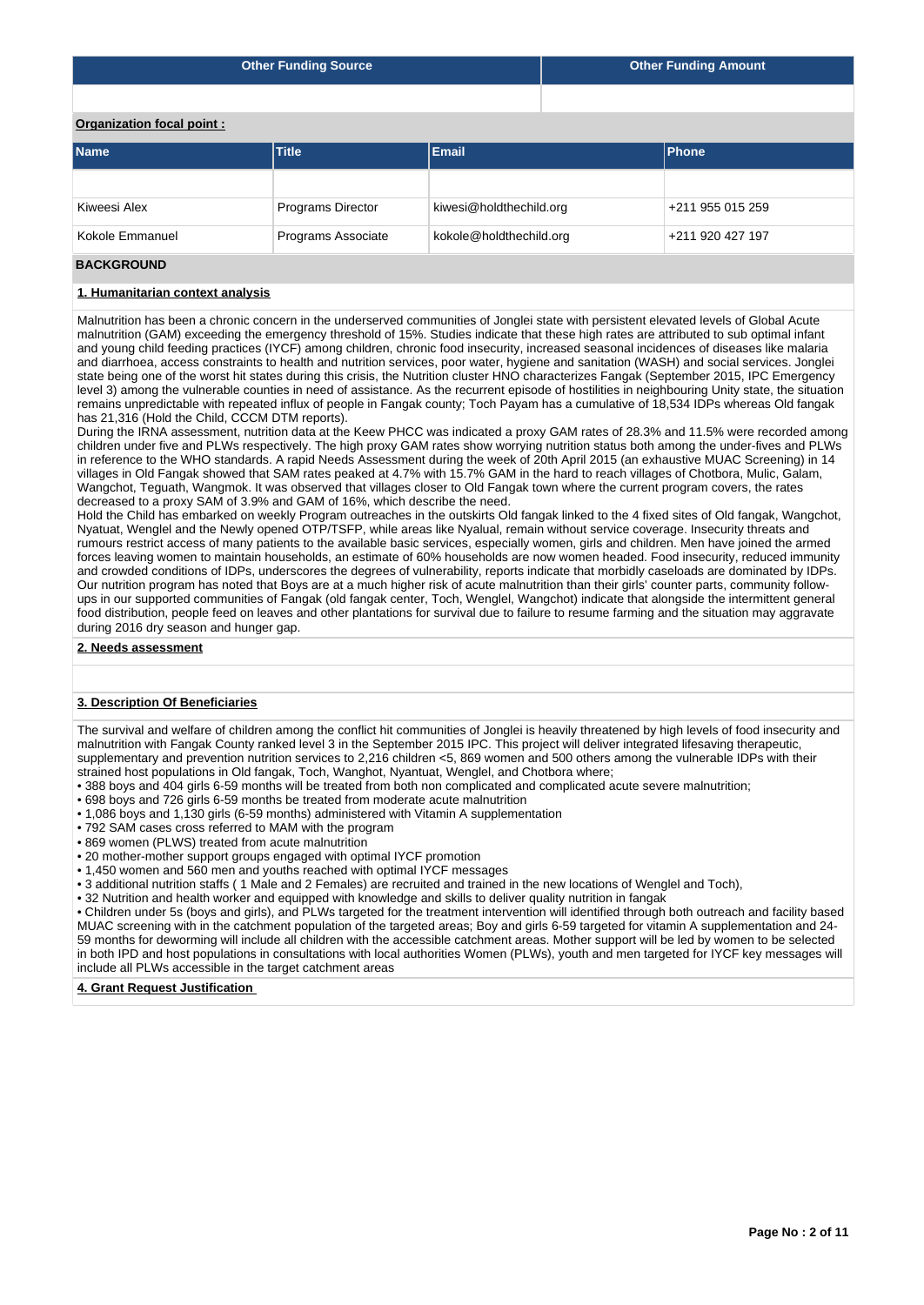| <b>Other Funding Source</b> |       |       | <b>Other Funding Amount</b> |
|-----------------------------|-------|-------|-----------------------------|
|                             |       |       |                             |
| Organization focal point:   |       |       |                             |
| <b>Name</b>                 | Title | Email | <b>Phone</b>                |

| l Name<br>l Title <b>I</b> |                          | Email                   | <b>IPhone</b>    |  |  |
|----------------------------|--------------------------|-------------------------|------------------|--|--|
|                            |                          |                         |                  |  |  |
| Kiweesi Alex               | <b>Programs Director</b> | kiwesi@holdthechild.org | +211 955 015 259 |  |  |
| Kokole Emmanuel            | Programs Associate       | kokole@holdthechild.org | +211 920 427 197 |  |  |
|                            |                          |                         |                  |  |  |

# **BACKGROUND**

#### **1. Humanitarian context analysis**

Malnutrition has been a chronic concern in the underserved communities of Jonglei state with persistent elevated levels of Global Acute malnutrition (GAM) exceeding the emergency threshold of 15%. Studies indicate that these high rates are attributed to sub optimal infant and young child feeding practices (IYCF) among children, chronic food insecurity, increased seasonal incidences of diseases like malaria and diarrhoea, access constraints to health and nutrition services, poor water, hygiene and sanitation (WASH) and social services. Jonglei state being one of the worst hit states during this crisis, the Nutrition cluster HNO characterizes Fangak (September 2015, IPC Emergency level 3) among the vulnerable counties in need of assistance. As the recurrent episode of hostilities in neighbouring Unity state, the situation remains unpredictable with repeated influx of people in Fangak county; Toch Payam has a cumulative of 18,534 IDPs whereas Old fangak has 21,316 (Hold the Child, CCCM DTM reports).

During the IRNA assessment, nutrition data at the Keew PHCC was indicated a proxy GAM rates of 28.3% and 11.5% were recorded among children under five and PLWs respectively. The high proxy GAM rates show worrying nutrition status both among the under-fives and PLWs in reference to the WHO standards. A rapid Needs Assessment during the week of 20th April 2015 (an exhaustive MUAC Screening) in 14 villages in Old Fangak showed that SAM rates peaked at 4.7% with 15.7% GAM in the hard to reach villages of Chotbora, Mulic, Galam, Wangchot, Teguath, Wangmok. It was observed that villages closer to Old Fangak town where the current program covers, the rates decreased to a proxy SAM of 3.9% and GAM of 16%, which describe the need.

Hold the Child has embarked on weekly Program outreaches in the outskirts Old fangak linked to the 4 fixed sites of Old fangak, Wangchot, Nyatuat, Wenglel and the Newly opened OTP/TSFP, while areas like Nyalual, remain without service coverage. Insecurity threats and rumours restrict access of many patients to the available basic services, especially women, girls and children. Men have joined the armed forces leaving women to maintain households, an estimate of 60% households are now women headed. Food insecurity, reduced immunity and crowded conditions of IDPs, underscores the degrees of vulnerability, reports indicate that morbidly caseloads are dominated by IDPs. Our nutrition program has noted that Boys are at a much higher risk of acute malnutrition than their girls' counter parts, community followups in our supported communities of Fangak (old fangak center, Toch, Wenglel, Wangchot) indicate that alongside the intermittent general food distribution, people feed on leaves and other plantations for survival due to failure to resume farming and the situation may aggravate during 2016 dry season and hunger gap.

**2. Needs assessment**

### **3. Description Of Beneficiaries**

The survival and welfare of children among the conflict hit communities of Jonglei is heavily threatened by high levels of food insecurity and malnutrition with Fangak County ranked level 3 in the September 2015 IPC. This project will deliver integrated lifesaving therapeutic, supplementary and prevention nutrition services to 2,216 children <5, 869 women and 500 others among the vulnerable IDPs with their strained host populations in Old fangak, Toch, Wanghot, Nyantuat, Wenglel, and Chotbora where;

- 388 boys and 404 girls 6-59 months will be treated from both non complicated and complicated acute severe malnutrition;
- 698 boys and 726 girls 6-59 months be treated from moderate acute malnutrition
- 1,086 boys and 1,130 girls (6-59 months) administered with Vitamin A supplementation
- 792 SAM cases cross referred to MAM with the program
- 869 women (PLWS) treated from acute malnutrition
- 20 mother-mother support groups engaged with optimal IYCF promotion
- 1,450 women and 560 men and youths reached with optimal IYCF messages
- 3 additional nutrition staffs ( 1 Male and 2 Females) are recruited and trained in the new locations of Wenglel and Toch),
- 32 Nutrition and health worker and equipped with knowledge and skills to deliver quality nutrition in fangak

• Children under 5s (boys and girls), and PLWs targeted for the treatment intervention will identified through both outreach and facility based MUAC screening with in the catchment population of the targeted areas; Boy and girls 6-59 targeted for vitamin A supplementation and 24- 59 months for deworming will include all children with the accessible catchment areas. Mother support will be led by women to be selected in both IPD and host populations in consultations with local authorities Women (PLWs), youth and men targeted for IYCF key messages will include all PLWs accessible in the target catchment areas

#### **4. Grant Request Justification**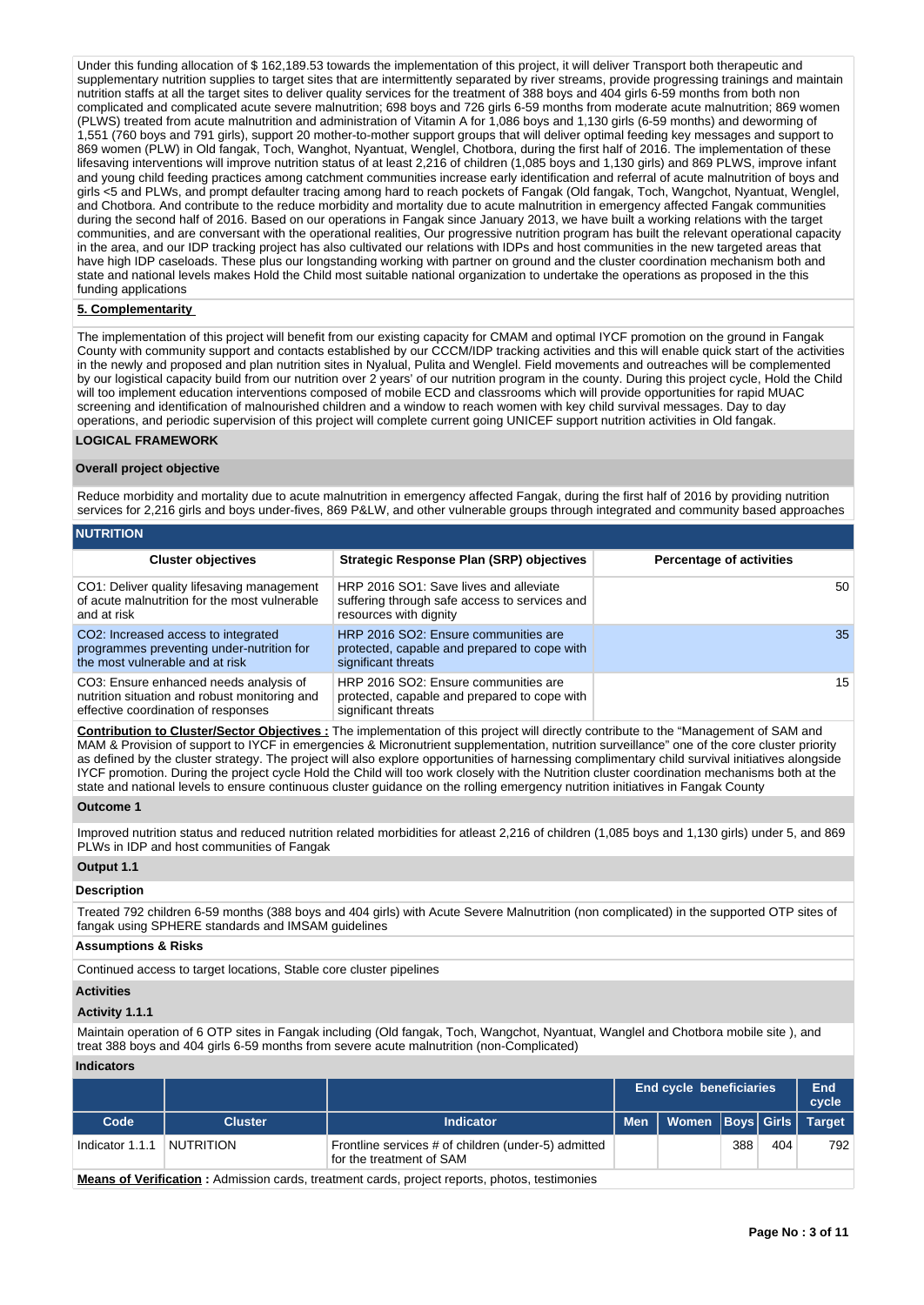Under this funding allocation of \$ 162,189.53 towards the implementation of this project, it will deliver Transport both therapeutic and supplementary nutrition supplies to target sites that are intermittently separated by river streams, provide progressing trainings and maintain nutrition staffs at all the target sites to deliver quality services for the treatment of 388 boys and 404 girls 6-59 months from both non complicated and complicated acute severe malnutrition; 698 boys and 726 girls 6-59 months from moderate acute malnutrition; 869 women (PLWS) treated from acute malnutrition and administration of Vitamin A for 1,086 boys and 1,130 girls (6-59 months) and deworming of 1,551 (760 boys and 791 girls), support 20 mother-to-mother support groups that will deliver optimal feeding key messages and support to 869 women (PLW) in Old fangak, Toch, Wanghot, Nyantuat, Wenglel, Chotbora, during the first half of 2016. The implementation of these lifesaving interventions will improve nutrition status of at least 2,216 of children (1,085 boys and 1,130 girls) and 869 PLWS, improve infant and young child feeding practices among catchment communities increase early identification and referral of acute malnutrition of boys and girls <5 and PLWs, and prompt defaulter tracing among hard to reach pockets of Fangak (Old fangak, Toch, Wangchot, Nyantuat, Wenglel, and Chotbora. And contribute to the reduce morbidity and mortality due to acute malnutrition in emergency affected Fangak communities during the second half of 2016. Based on our operations in Fangak since January 2013, we have built a working relations with the target communities, and are conversant with the operational realities, Our progressive nutrition program has built the relevant operational capacity in the area, and our IDP tracking project has also cultivated our relations with IDPs and host communities in the new targeted areas that have high IDP caseloads. These plus our longstanding working with partner on ground and the cluster coordination mechanism both and state and national levels makes Hold the Child most suitable national organization to undertake the operations as proposed in the this funding applications

### **5. Complementarity**

The implementation of this project will benefit from our existing capacity for CMAM and optimal IYCF promotion on the ground in Fangak County with community support and contacts established by our CCCM/IDP tracking activities and this will enable quick start of the activities in the newly and proposed and plan nutrition sites in Nyalual, Pulita and Wenglel. Field movements and outreaches will be complemented by our logistical capacity build from our nutrition over 2 years' of our nutrition program in the county. During this project cycle, Hold the Child will too implement education interventions composed of mobile ECD and classrooms which will provide opportunities for rapid MUAC screening and identification of malnourished children and a window to reach women with key child survival messages. Day to day operations, and periodic supervision of this project will complete current going UNICEF support nutrition activities in Old fangak.

## **LOGICAL FRAMEWORK**

#### **Overall project objective**

Reduce morbidity and mortality due to acute malnutrition in emergency affected Fangak, during the first half of 2016 by providing nutrition services for 2,216 girls and boys under-fives, 869 P&LW, and other vulnerable groups through integrated and community based approaches

## **NUTRITION**

| <b>Cluster objectives</b>                                                                                                        | <b>Strategic Response Plan (SRP) objectives</b>                                                                   | <b>Percentage of activities</b> |
|----------------------------------------------------------------------------------------------------------------------------------|-------------------------------------------------------------------------------------------------------------------|---------------------------------|
| CO1: Deliver quality lifesaving management<br>of acute malnutrition for the most vulnerable<br>and at risk                       | HRP 2016 SO1: Save lives and alleviate<br>suffering through safe access to services and<br>resources with dignity | 50                              |
| CO <sub>2</sub> : Increased access to integrated<br>programmes preventing under-nutrition for<br>the most vulnerable and at risk | HRP 2016 SO2: Ensure communities are<br>protected, capable and prepared to cope with<br>significant threats       | 35                              |
| CO3: Ensure enhanced needs analysis of<br>nutrition situation and robust monitoring and<br>effective coordination of responses   | HRP 2016 SO2: Ensure communities are<br>protected, capable and prepared to cope with<br>significant threats       | 15 <sup>1</sup>                 |

**Contribution to Cluster/Sector Objectives :** The implementation of this project will directly contribute to the "Management of SAM and MAM & Provision of support to IYCF in emergencies & Micronutrient supplementation, nutrition surveillance" one of the core cluster priority as defined by the cluster strategy. The project will also explore opportunities of harnessing complimentary child survival initiatives alongside IYCF promotion. During the project cycle Hold the Child will too work closely with the Nutrition cluster coordination mechanisms both at the state and national levels to ensure continuous cluster guidance on the rolling emergency nutrition initiatives in Fangak County

#### **Outcome 1**

Improved nutrition status and reduced nutrition related morbidities for atleast 2,216 of children (1,085 boys and 1,130 girls) under 5, and 869 PLWs in IDP and host communities of Fangak

#### **Output 1.1**

#### **Description**

Treated 792 children 6-59 months (388 boys and 404 girls) with Acute Severe Malnutrition (non complicated) in the supported OTP sites of fangak using SPHERE standards and IMSAM guidelines

## **Assumptions & Risks**

Continued access to target locations, Stable core cluster pipelines

### **Activities**

#### **Activity 1.1.1**

Maintain operation of 6 OTP sites in Fangak including (Old fangak, Toch, Wangchot, Nyantuat, Wanglel and Chotbora mobile site ), and treat 388 boys and 404 girls 6-59 months from severe acute malnutrition (non-Complicated)

#### **Indicators**

|                                                                                                      |                |                                                                                 | <b>End cycle beneficiaries</b> |                          |     | End<br>cycle |               |
|------------------------------------------------------------------------------------------------------|----------------|---------------------------------------------------------------------------------|--------------------------------|--------------------------|-----|--------------|---------------|
| Code                                                                                                 | <b>Cluster</b> | Indicator                                                                       | <b>Men</b>                     | Women   Boys   Girls   \ |     |              | <b>Target</b> |
| Indicator 1.1.1                                                                                      | NUTRITION      | Frontline services # of children (under-5) admitted<br>for the treatment of SAM |                                |                          | 388 | 404          | 792           |
| <b>Means of Verification:</b> Admission cards, treatment cards, project reports, photos, testimonies |                |                                                                                 |                                |                          |     |              |               |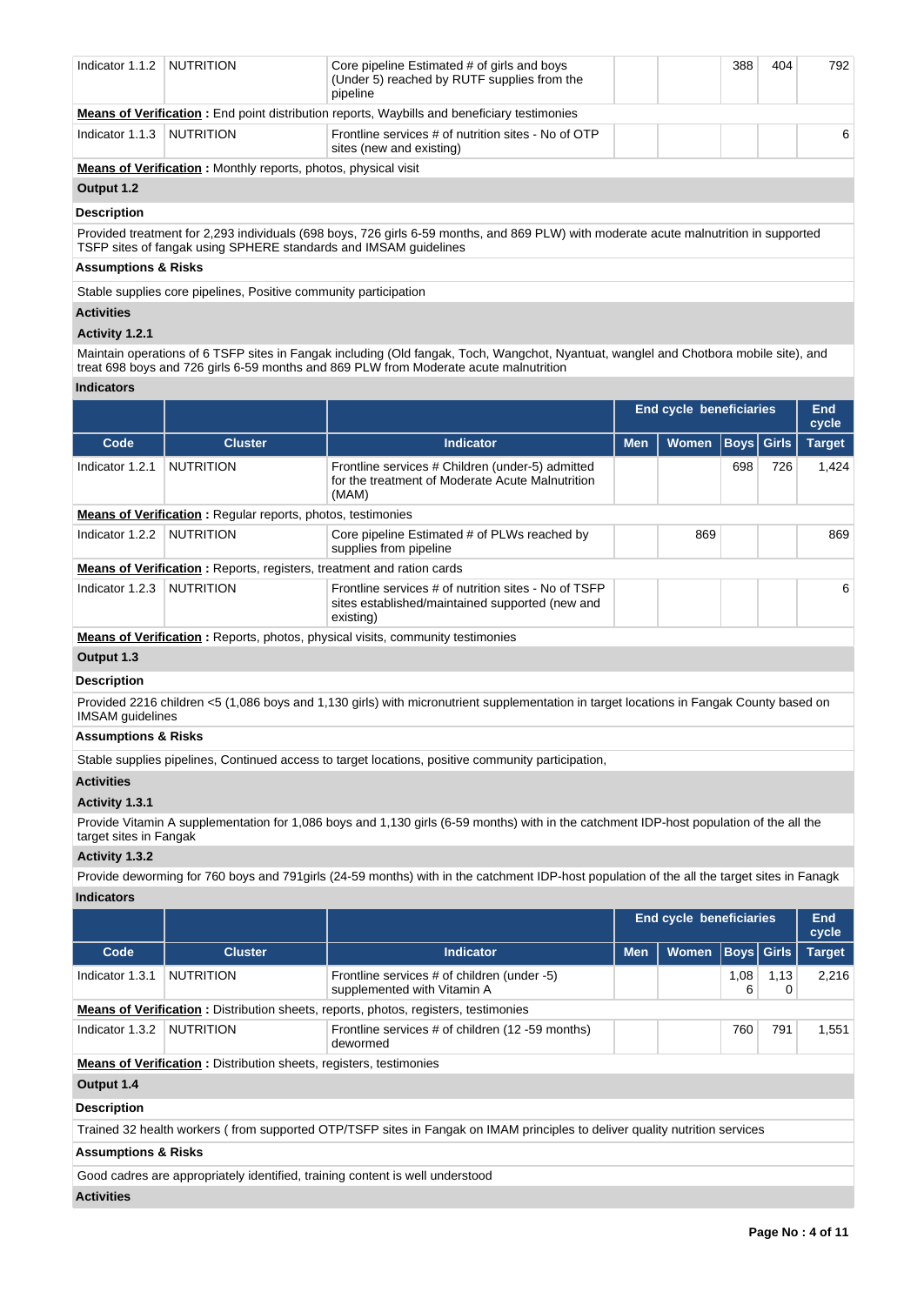| Indicator 1.1.2    | <b>NUTRITION</b>                                                      | Core pipeline Estimated # of girls and boys<br>(Under 5) reached by RUTF supplies from the<br>pipeline                                |  |  | 388<br>404 | 792 |
|--------------------|-----------------------------------------------------------------------|---------------------------------------------------------------------------------------------------------------------------------------|--|--|------------|-----|
|                    |                                                                       | <b>Means of Verification:</b> End point distribution reports, Waybills and beneficiary testimonies                                    |  |  |            |     |
| Indicator 1.1.3    | <b>NUTRITION</b>                                                      | Frontline services # of nutrition sites - No of OTP<br>sites (new and existing)                                                       |  |  |            | 6   |
|                    | <b>Means of Verification:</b> Monthly reports, photos, physical visit |                                                                                                                                       |  |  |            |     |
| Output 1.2         |                                                                       |                                                                                                                                       |  |  |            |     |
| <b>Description</b> |                                                                       |                                                                                                                                       |  |  |            |     |
|                    | TSFP sites of fangak using SPHERE standards and IMSAM guidelines      | Provided treatment for 2,293 individuals (698 boys, 726 girls 6-59 months, and 869 PLW) with moderate acute malnutrition in supported |  |  |            |     |
| .                  |                                                                       |                                                                                                                                       |  |  |            |     |

# **Assumptions & Risks**

Stable supplies core pipelines, Positive community participation

# **Activities**

# **Activity 1.2.1**

Maintain operations of 6 TSFP sites in Fangak including (Old fangak, Toch, Wangchot, Nyantuat, wanglel and Chotbora mobile site), and treat 698 boys and 726 girls 6-59 months and 869 PLW from Moderate acute malnutrition

## **Indicators**

|                 |                                                                              |                                                                                                                      | <b>End cycle beneficiaries</b> |              |     | End<br>cycle      |               |
|-----------------|------------------------------------------------------------------------------|----------------------------------------------------------------------------------------------------------------------|--------------------------------|--------------|-----|-------------------|---------------|
| Code            | <b>Cluster</b>                                                               | Indicator                                                                                                            | <b>Men</b>                     | <b>Women</b> |     | <b>Boys</b> Girls | <b>Target</b> |
| Indicator 1.2.1 | <b>NUTRITION</b>                                                             | Frontline services # Children (under-5) admitted<br>for the treatment of Moderate Acute Malnutrition<br>(MAM)        |                                |              | 698 | 726               | 1.424         |
|                 | <b>Means of Verification:</b> Regular reports, photos, testimonies           |                                                                                                                      |                                |              |     |                   |               |
| Indicator 1.2.2 | NUTRITION                                                                    | Core pipeline Estimated # of PLWs reached by<br>supplies from pipeline                                               |                                | 869          |     |                   | 869           |
|                 | <b>Means of Verification:</b> Reports, registers, treatment and ration cards |                                                                                                                      |                                |              |     |                   |               |
| Indicator 1.2.3 | NUTRITION                                                                    | Frontline services # of nutrition sites - No of TSFP<br>sites established/maintained supported (new and<br>existing) |                                |              |     |                   | 6             |
|                 |                                                                              | <b>Means of Verification:</b> Reports, photos, physical visits, community testimonies                                |                                |              |     |                   |               |

# **Output 1.3 Description**

Provided 2216 children <5 (1,086 boys and 1,130 girls) with micronutrient supplementation in target locations in Fangak County based on IMSAM guidelines

# **Assumptions & Risks**

Stable supplies pipelines, Continued access to target locations, positive community participation,

## **Activities**

## **Activity 1.3.1**

Provide Vitamin A supplementation for 1,086 boys and 1,130 girls (6-59 months) with in the catchment IDP-host population of the all the target sites in Fangak

## **Activity 1.3.2**

Provide deworming for 760 boys and 791girls (24-59 months) with in the catchment IDP-host population of the all the target sites in Fanagk **Indicators**

| inuitatui a |  |  |  |
|-------------|--|--|--|
|             |  |  |  |

|                  |                                                                            | <b>End cycle beneficiaries</b>                                                                                                                                                                                                                           |              |           | End<br>cycle |                                                                                                                                                  |
|------------------|----------------------------------------------------------------------------|----------------------------------------------------------------------------------------------------------------------------------------------------------------------------------------------------------------------------------------------------------|--------------|-----------|--------------|--------------------------------------------------------------------------------------------------------------------------------------------------|
| <b>Cluster</b>   | <b>Indicator</b>                                                           | <b>Men</b>                                                                                                                                                                                                                                               | <b>Women</b> |           |              | <b>Target</b>                                                                                                                                    |
| <b>NUTRITION</b> | Frontline services # of children (under -5)<br>supplemented with Vitamin A |                                                                                                                                                                                                                                                          |              | 1,08<br>6 | 1,13<br>0    | 2,216                                                                                                                                            |
|                  |                                                                            |                                                                                                                                                                                                                                                          |              |           |              |                                                                                                                                                  |
|                  | Frontline services # of children (12 -59 months)<br>dewormed               |                                                                                                                                                                                                                                                          |              | 760       | 791          | 1,551                                                                                                                                            |
|                  |                                                                            |                                                                                                                                                                                                                                                          |              |           |              |                                                                                                                                                  |
|                  |                                                                            |                                                                                                                                                                                                                                                          |              |           |              |                                                                                                                                                  |
|                  |                                                                            |                                                                                                                                                                                                                                                          |              |           |              |                                                                                                                                                  |
|                  |                                                                            |                                                                                                                                                                                                                                                          |              |           |              |                                                                                                                                                  |
|                  |                                                                            |                                                                                                                                                                                                                                                          |              |           |              |                                                                                                                                                  |
|                  |                                                                            |                                                                                                                                                                                                                                                          |              |           |              |                                                                                                                                                  |
|                  | <b>NUTRITION</b><br><b>Assumptions &amp; Risks</b>                         | <b>Means of Verification:</b> Distribution sheets, reports, photos, registers, testimonies<br><b>Means of Verification:</b> Distribution sheets, registers, testimonies<br>Good cadres are appropriately identified, training content is well understood |              |           |              | <b>Boys</b> Girls<br>Trained 32 health workers (from supported OTP/TSFP sites in Fangak on IMAM principles to deliver quality nutrition services |

**Activities**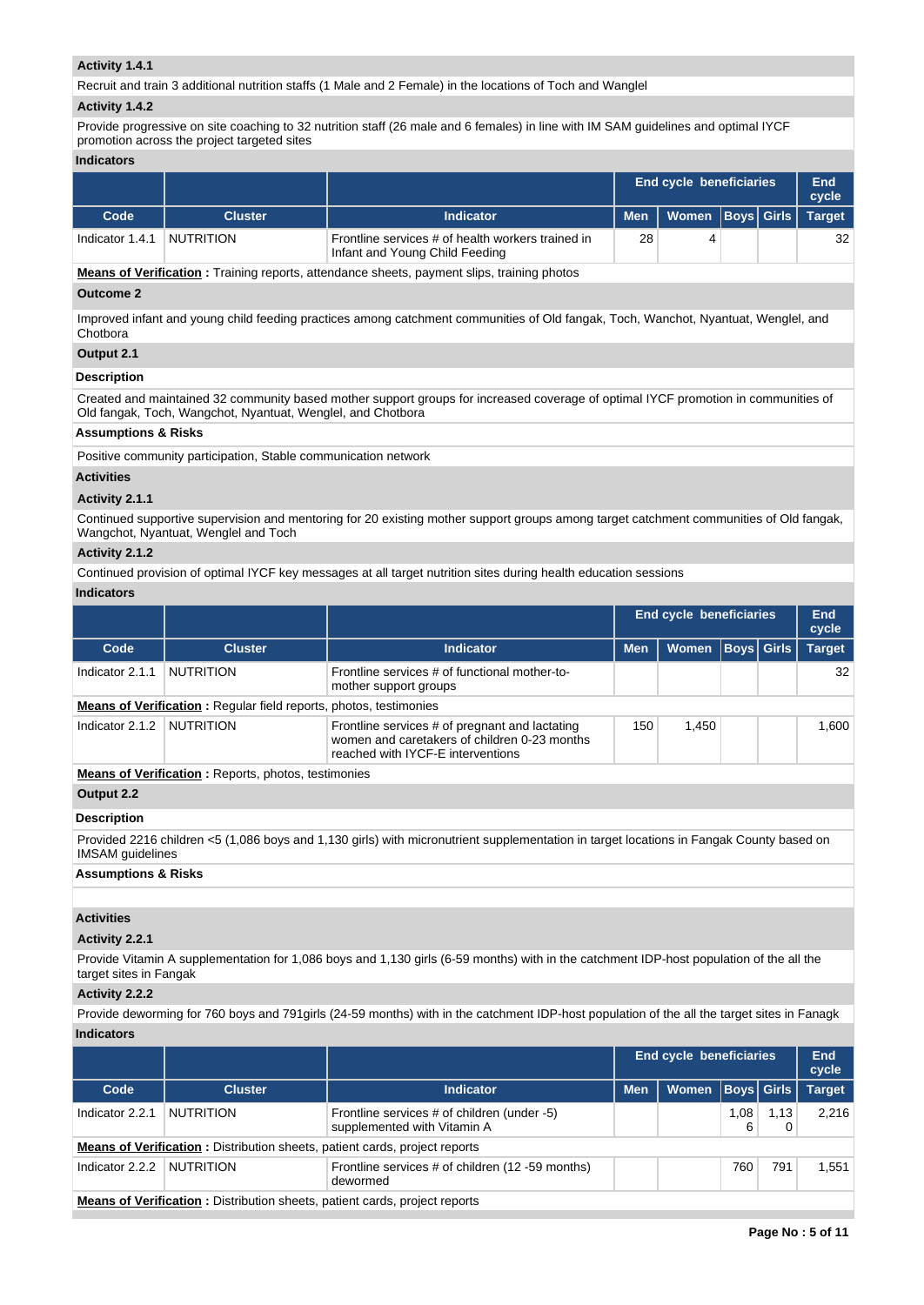## **Activity 1.4.1**

Recruit and train 3 additional nutrition staffs (1 Male and 2 Female) in the locations of Toch and Wanglel

#### **Activity 1.4.2**

Provide progressive on site coaching to 32 nutrition staff (26 male and 6 females) in line with IM SAM guidelines and optimal IYCF promotion across the project targeted sites

### **Indicators**

|                 |                  |                                                                                     | <b>End cycle beneficiaries</b> |                      |  | End<br>cycle |               |
|-----------------|------------------|-------------------------------------------------------------------------------------|--------------------------------|----------------------|--|--------------|---------------|
| Code            | <b>Cluster</b>   | <b>Indicator</b>                                                                    | <b>Men</b>                     | Women   Boys   Girls |  |              | <b>Target</b> |
| Indicator 1.4.1 | <b>NUTRITION</b> | Frontline services # of health workers trained in<br>Infant and Young Child Feeding | 28                             |                      |  |              | 32            |

**Means of Verification :** Training reports, attendance sheets, payment slips, training photos

# **Outcome 2**

Improved infant and young child feeding practices among catchment communities of Old fangak, Toch, Wanchot, Nyantuat, Wenglel, and **Chotbora** 

## **Output 2.1**

## **Description**

Created and maintained 32 community based mother support groups for increased coverage of optimal IYCF promotion in communities of Old fangak, Toch, Wangchot, Nyantuat, Wenglel, and Chotbora

# **Assumptions & Risks**

Positive community participation, Stable communication network

### **Activities**

## **Activity 2.1.1**

Continued supportive supervision and mentoring for 20 existing mother support groups among target catchment communities of Old fangak, Wangchot, Nyantuat, Wenglel and Toch

# **Activity 2.1.2**

Continued provision of optimal IYCF key messages at all target nutrition sites during health education sessions

## **Indicators**

|                 |                                                                          |                                                                                                                                     |            | <b>End cycle beneficiaries</b> |                   | End<br>cycle  |
|-----------------|--------------------------------------------------------------------------|-------------------------------------------------------------------------------------------------------------------------------------|------------|--------------------------------|-------------------|---------------|
| Code            | <b>Cluster</b>                                                           | <b>Indicator</b>                                                                                                                    | <b>Men</b> | <b>Women</b>                   | <b>Boys</b> Girls | <b>Target</b> |
| Indicator 2.1.1 | <b>NUTRITION</b>                                                         | Frontline services # of functional mother-to-<br>mother support groups                                                              |            |                                |                   | 32            |
|                 | <b>Means of Verification:</b> Regular field reports, photos, testimonies |                                                                                                                                     |            |                                |                   |               |
| Indicator 2.1.2 | <b>NUTRITION</b>                                                         | Frontline services # of pregnant and lactating<br>women and caretakers of children 0-23 months<br>reached with IYCF-E interventions | 150        | 1.450                          |                   | 1.600         |
|                 | <b>Means of Verification:</b> Reports, photos, testimonies               |                                                                                                                                     |            |                                |                   |               |

## **Output 2.2**

### **Description**

Provided 2216 children <5 (1,086 boys and 1,130 girls) with micronutrient supplementation in target locations in Fangak County based on IMSAM guidelines

## **Assumptions & Risks**

### **Activities**

### **Activity 2.2.1**

Provide Vitamin A supplementation for 1,086 boys and 1,130 girls (6-59 months) with in the catchment IDP-host population of the all the target sites in Fangak

# **Activity 2.2.2**

Provide deworming for 760 boys and 791girls (24-59 months) with in the catchment IDP-host population of the all the target sites in Fanagk **Indicators**

|                 |                                                                                   |                                                                            |            | <b>End cycle beneficiaries</b> |                   |      | End<br>cycle  |
|-----------------|-----------------------------------------------------------------------------------|----------------------------------------------------------------------------|------------|--------------------------------|-------------------|------|---------------|
| Code            | <b>Cluster</b>                                                                    | <b>Indicator</b>                                                           | <b>Men</b> | Women                          | <b>Boys Girls</b> |      | <b>Target</b> |
| Indicator 2.2.1 | <b>NUTRITION</b>                                                                  | Frontline services # of children (under -5)<br>supplemented with Vitamin A |            |                                | 1,08<br>6         | 1,13 | 2.216         |
|                 | <b>Means of Verification:</b> Distribution sheets, patient cards, project reports |                                                                            |            |                                |                   |      |               |
| Indicator 2.2.2 | <b>NUTRITION</b>                                                                  | Frontline services # of children (12 -59 months)<br>dewormed               |            |                                | 760               | 791  | 1.551         |
|                 | Means of Verification : Distribution sheets nationt cards project reports         |                                                                            |            |                                |                   |      |               |

**Means of Verification :** Distribution sheets, patient cards, project reports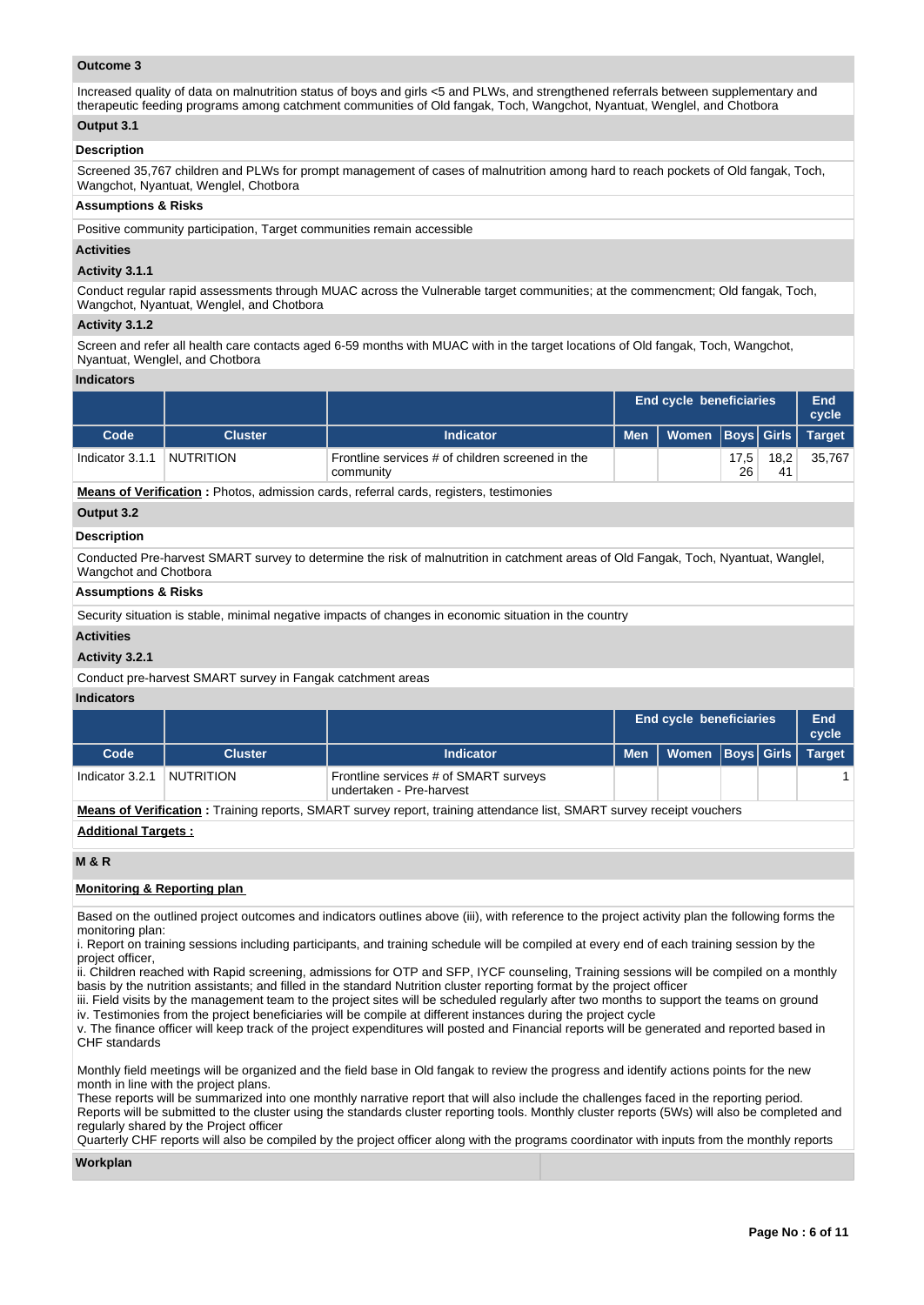## **Outcome 3**

Increased quality of data on malnutrition status of boys and girls <5 and PLWs, and strengthened referrals between supplementary and therapeutic feeding programs among catchment communities of Old fangak, Toch, Wangchot, Nyantuat, Wenglel, and Chotbora

# **Output 3.1**

## **Description**

Screened 35,767 children and PLWs for prompt management of cases of malnutrition among hard to reach pockets of Old fangak, Toch, Wangchot, Nyantuat, Wenglel, Chotbora

#### **Assumptions & Risks**

Positive community participation, Target communities remain accessible

## **Activities**

## **Activity 3.1.1**

Conduct regular rapid assessments through MUAC across the Vulnerable target communities; at the commencment; Old fangak, Toch, Wangchot, Nyantuat, Wenglel, and Chotbora

#### **Activity 3.1.2**

Screen and refer all health care contacts aged 6-59 months with MUAC with in the target locations of Old fangak, Toch, Wangchot, Nyantuat, Wenglel, and Chotbora

## **Indicators**

|                 |                  |                                                               |            | <b>End cycle beneficiaries</b> |            |            | End<br>cycle |
|-----------------|------------------|---------------------------------------------------------------|------------|--------------------------------|------------|------------|--------------|
| Code            | <b>Cluster</b>   | <b>Indicator</b>                                              | <b>Men</b> | Women   Boys   Girls   Target  |            |            |              |
| Indicator 3.1.1 | <b>NUTRITION</b> | Frontline services # of children screened in the<br>community |            |                                | 17.5<br>26 | 18.2<br>41 | 35.767       |

**Means of Verification :** Photos, admission cards, referral cards, registers, testimonies

# **Output 3.2**

# **Description**

Conducted Pre-harvest SMART survey to determine the risk of malnutrition in catchment areas of Old Fangak, Toch, Nyantuat, Wanglel, Wangchot and Chotbora

## **Assumptions & Risks**

Security situation is stable, minimal negative impacts of changes in economic situation in the country

## **Activities**

## **Activity 3.2.1**

Conduct pre-harvest SMART survey in Fangak catchment areas

## **Indicators**

|                 |                  |                                                                   | <b>End cycle beneficiaries</b> |  | End<br>cycle  |
|-----------------|------------------|-------------------------------------------------------------------|--------------------------------|--|---------------|
| Code            | <b>Cluster</b>   | <b>Indicator</b>                                                  | Men   Women   Boys   Girls   \ |  | <b>Target</b> |
| Indicator 3.2.1 | <b>NUTRITION</b> | Frontline services # of SMART surveys<br>undertaken - Pre-harvest |                                |  |               |

**Means of Verification :** Training reports, SMART survey report, training attendance list, SMART survey receipt vouchers

### **Additional Targets :**

## **M & R**

## **Monitoring & Reporting plan**

Based on the outlined project outcomes and indicators outlines above (iii), with reference to the project activity plan the following forms the monitoring plan:

i. Report on training sessions including participants, and training schedule will be compiled at every end of each training session by the project officer,

ii. Children reached with Rapid screening, admissions for OTP and SFP, IYCF counseling, Training sessions will be compiled on a monthly basis by the nutrition assistants; and filled in the standard Nutrition cluster reporting format by the project officer

iii. Field visits by the management team to the project sites will be scheduled regularly after two months to support the teams on ground iv. Testimonies from the project beneficiaries will be compile at different instances during the project cycle

v. The finance officer will keep track of the project expenditures will posted and Financial reports will be generated and reported based in CHF standards

Monthly field meetings will be organized and the field base in Old fangak to review the progress and identify actions points for the new month in line with the project plans.

These reports will be summarized into one monthly narrative report that will also include the challenges faced in the reporting period. Reports will be submitted to the cluster using the standards cluster reporting tools. Monthly cluster reports (5Ws) will also be completed and regularly shared by the Project officer

Quarterly CHF reports will also be compiled by the project officer along with the programs coordinator with inputs from the monthly reports

### **Workplan**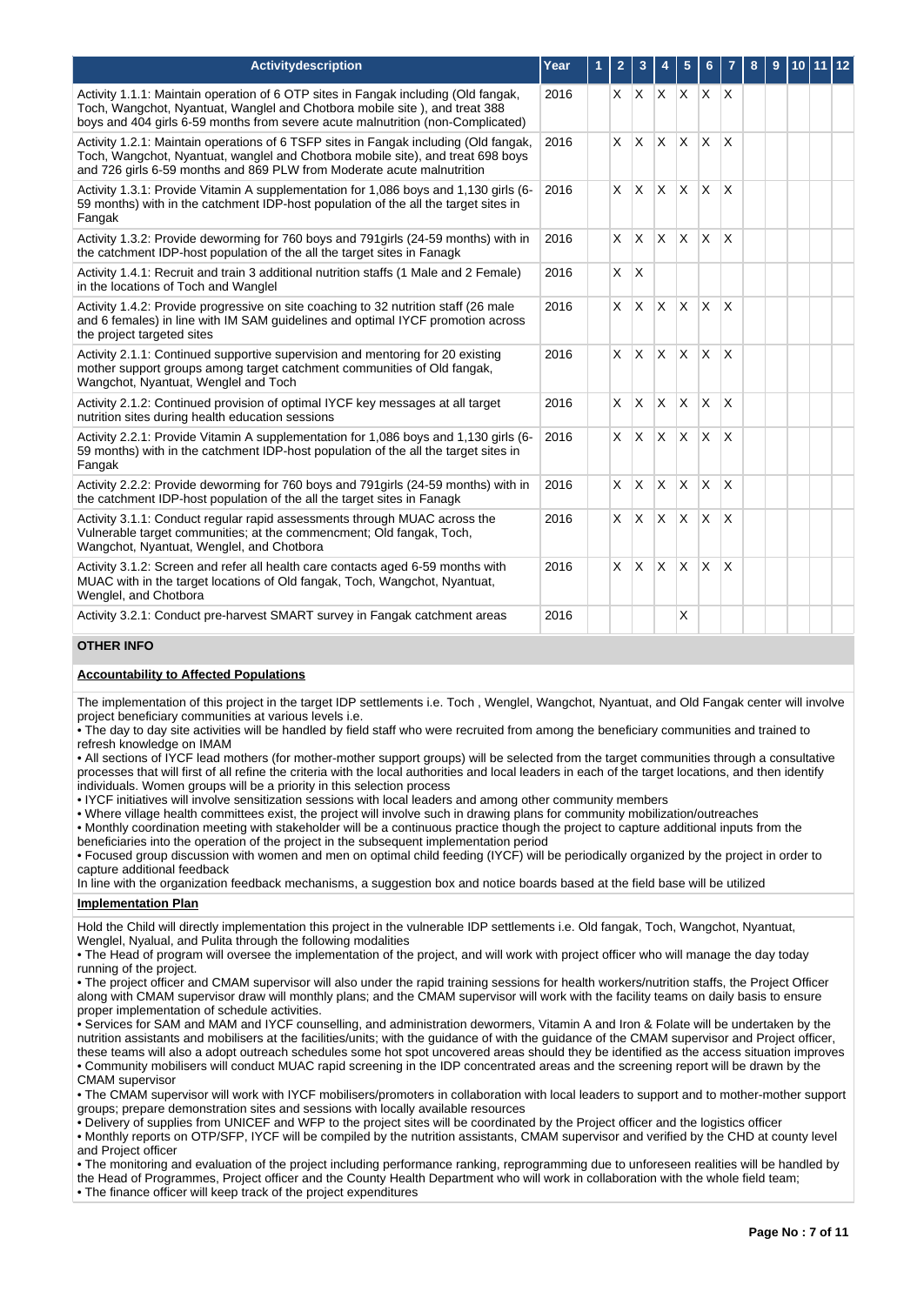| <b>Activitydescription</b>                                                                                                                                                                                                                          | Year | 1 | $\overline{2}$ | 3            |                         | 5            | 6            |              | 8 | 9 | 10 | l 12 |
|-----------------------------------------------------------------------------------------------------------------------------------------------------------------------------------------------------------------------------------------------------|------|---|----------------|--------------|-------------------------|--------------|--------------|--------------|---|---|----|------|
| Activity 1.1.1: Maintain operation of 6 OTP sites in Fangak including (Old fangak,<br>Toch, Wangchot, Nyantuat, Wanglel and Chotbora mobile site), and treat 388<br>boys and 404 girls 6-59 months from severe acute malnutrition (non-Complicated) | 2016 |   |                |              | $X$ $X$ $X$ $X$ $X$ $X$ |              |              |              |   |   |    |      |
| Activity 1.2.1: Maintain operations of 6 TSFP sites in Fangak including (Old fangak,<br>Toch, Wangchot, Nyantuat, wanglel and Chotbora mobile site), and treat 698 boys<br>and 726 girls 6-59 months and 869 PLW from Moderate acute malnutrition   | 2016 |   | $\times$       |              | $X \times X$            |              | <b>X</b>     | X            |   |   |    |      |
| Activity 1.3.1: Provide Vitamin A supplementation for 1,086 boys and 1,130 girls (6-<br>59 months) with in the catchment IDP-host population of the all the target sites in<br>Fangak                                                               | 2016 |   | $\times$       |              | X X                     | <b>X</b>     | $\times$     | X            |   |   |    |      |
| Activity 1.3.2: Provide deworming for 760 boys and 791 girls (24-59 months) with in<br>the catchment IDP-host population of the all the target sites in Fanagk                                                                                      | 2016 |   | $\times$       | ΙX.          | Ιx.                     | <b>X</b>     | <sup>X</sup> | <sup>X</sup> |   |   |    |      |
| Activity 1.4.1: Recruit and train 3 additional nutrition staffs (1 Male and 2 Female)<br>in the locations of Toch and Wanglel                                                                                                                       | 2016 |   | X              | ΙX           |                         |              |              |              |   |   |    |      |
| Activity 1.4.2: Provide progressive on site coaching to 32 nutrition staff (26 male<br>and 6 females) in line with IM SAM guidelines and optimal IYCF promotion across<br>the project targeted sites                                                | 2016 |   | X              | <b>X</b>     | $\mathsf{X}$            | <b>X</b>     | $\times$     | X            |   |   |    |      |
| Activity 2.1.1: Continued supportive supervision and mentoring for 20 existing<br>mother support groups among target catchment communities of Old fangak,<br>Wangchot, Nyantuat, Wenglel and Toch                                                   | 2016 |   | $\times$       | $\mathsf{X}$ | $\mathsf{X}$            | <b>X</b>     | $\times$     | X            |   |   |    |      |
| Activity 2.1.2: Continued provision of optimal IYCF key messages at all target<br>nutrition sites during health education sessions                                                                                                                  | 2016 |   | X              | <sup>X</sup> | <sup>X</sup>            | X            | $\times$     | X            |   |   |    |      |
| Activity 2.2.1: Provide Vitamin A supplementation for 1,086 boys and 1,130 girls (6-<br>59 months) with in the catchment IDP-host population of the all the target sites in<br>Fangak                                                               | 2016 |   | X              | $\mathsf{X}$ | $\mathsf{X}$            | <b>X</b>     | ΙX.          | X            |   |   |    |      |
| Activity 2.2.2: Provide deworming for 760 boys and 791 girls (24-59 months) with in<br>the catchment IDP-host population of the all the target sites in Fanagk                                                                                      | 2016 |   | X              | $\times$     | $\mathsf{X}$            | $\mathsf{x}$ | X            | $\mathsf{x}$ |   |   |    |      |
| Activity 3.1.1: Conduct regular rapid assessments through MUAC across the<br>Vulnerable target communities; at the commencment; Old fangak, Toch,<br>Wangchot, Nyantuat, Wenglel, and Chotbora                                                      | 2016 |   | X              | <b>X</b>     | $\mathsf{X}$            | X            | X            | X            |   |   |    |      |
| Activity 3.1.2: Screen and refer all health care contacts aged 6-59 months with<br>MUAC with in the target locations of Old fangak, Toch, Wangchot, Nyantuat,<br>Wenglel, and Chotbora                                                              | 2016 |   | X              | <b>X</b>     | ΙX.                     | X            | X            | X            |   |   |    |      |
| Activity 3.2.1: Conduct pre-harvest SMART survey in Fangak catchment areas                                                                                                                                                                          | 2016 |   |                |              |                         | X            |              |              |   |   |    |      |

# **OTHER INFO**

## **Accountability to Affected Populations**

The implementation of this project in the target IDP settlements i.e. Toch , Wenglel, Wangchot, Nyantuat, and Old Fangak center will involve project beneficiary communities at various levels i.e.

• The day to day site activities will be handled by field staff who were recruited from among the beneficiary communities and trained to refresh knowledge on IMAM

• All sections of IYCF lead mothers (for mother-mother support groups) will be selected from the target communities through a consultative processes that will first of all refine the criteria with the local authorities and local leaders in each of the target locations, and then identify individuals. Women groups will be a priority in this selection process

• IYCF initiatives will involve sensitization sessions with local leaders and among other community members

• Where village health committees exist, the project will involve such in drawing plans for community mobilization/outreaches

• Monthly coordination meeting with stakeholder will be a continuous practice though the project to capture additional inputs from the

beneficiaries into the operation of the project in the subsequent implementation period

• Focused group discussion with women and men on optimal child feeding (IYCF) will be periodically organized by the project in order to capture additional feedback

In line with the organization feedback mechanisms, a suggestion box and notice boards based at the field base will be utilized

## **Implementation Plan**

Hold the Child will directly implementation this project in the vulnerable IDP settlements i.e. Old fangak, Toch, Wangchot, Nyantuat, Wenglel, Nyalual, and Pulita through the following modalities

• The Head of program will oversee the implementation of the project, and will work with project officer who will manage the day today running of the project.

• The project officer and CMAM supervisor will also under the rapid training sessions for health workers/nutrition staffs, the Project Officer along with CMAM supervisor draw will monthly plans; and the CMAM supervisor will work with the facility teams on daily basis to ensure proper implementation of schedule activities.

• Services for SAM and MAM and IYCF counselling, and administration dewormers, Vitamin A and Iron & Folate will be undertaken by the nutrition assistants and mobilisers at the facilities/units; with the guidance of with the guidance of the CMAM supervisor and Project officer, these teams will also a adopt outreach schedules some hot spot uncovered areas should they be identified as the access situation improves • Community mobilisers will conduct MUAC rapid screening in the IDP concentrated areas and the screening report will be drawn by the CMAM supervisor

• The CMAM supervisor will work with IYCF mobilisers/promoters in collaboration with local leaders to support and to mother-mother support groups; prepare demonstration sites and sessions with locally available resources

• Delivery of supplies from UNICEF and WFP to the project sites will be coordinated by the Project officer and the logistics officer

• Monthly reports on OTP/SFP, IYCF will be compiled by the nutrition assistants, CMAM supervisor and verified by the CHD at county level and Project officer

• The monitoring and evaluation of the project including performance ranking, reprogramming due to unforeseen realities will be handled by the Head of Programmes, Project officer and the County Health Department who will work in collaboration with the whole field team; • The finance officer will keep track of the project expenditures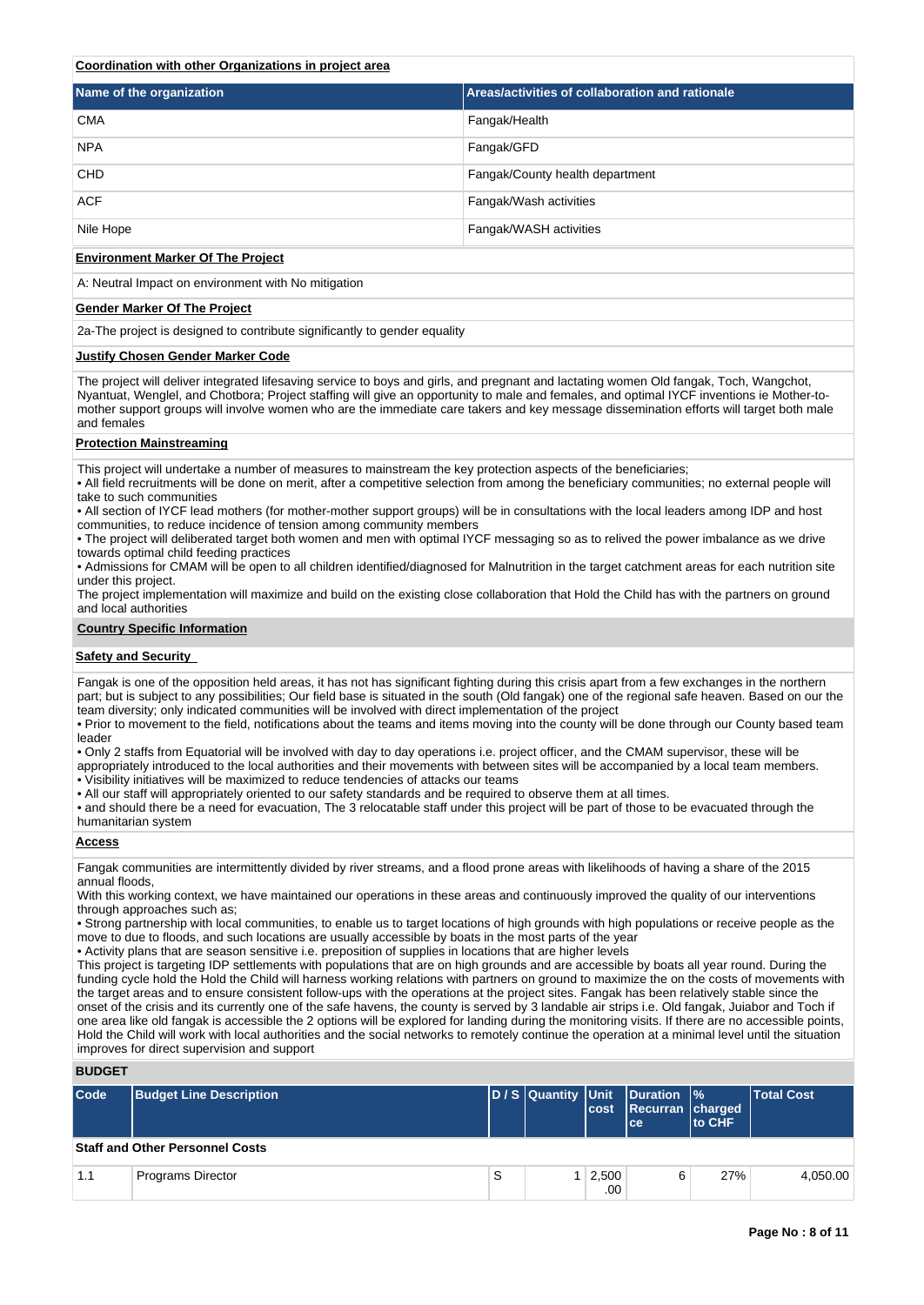## **Coordination with other Organizations in project area**

| Name of the organization | Areas/activities of collaboration and rationale |
|--------------------------|-------------------------------------------------|
| <b>CMA</b>               | Fangak/Health                                   |
| <b>NPA</b>               | Fangak/GFD                                      |
| <b>CHD</b>               | Fangak/County health department                 |
| <b>ACF</b>               | Fangak/Wash activities                          |
| Nile Hope                | Fangak/WASH activities                          |

#### **Environment Marker Of The Project**

A: Neutral Impact on environment with No mitigation

#### **Gender Marker Of The Project**

2a-The project is designed to contribute significantly to gender equality

#### **Justify Chosen Gender Marker Code**

The project will deliver integrated lifesaving service to boys and girls, and pregnant and lactating women Old fangak, Toch, Wangchot, Nyantuat, Wenglel, and Chotbora; Project staffing will give an opportunity to male and females, and optimal IYCF inventions ie Mother-tomother support groups will involve women who are the immediate care takers and key message dissemination efforts will target both male and females

#### **Protection Mainstreaming**

This project will undertake a number of measures to mainstream the key protection aspects of the beneficiaries;

- All field recruitments will be done on merit, after a competitive selection from among the beneficiary communities; no external people will take to such communities
- All section of IYCF lead mothers (for mother-mother support groups) will be in consultations with the local leaders among IDP and host communities, to reduce incidence of tension among community members
- The project will deliberated target both women and men with optimal IYCF messaging so as to relived the power imbalance as we drive towards optimal child feeding practices
- Admissions for CMAM will be open to all children identified/diagnosed for Malnutrition in the target catchment areas for each nutrition site under this project.
- The project implementation will maximize and build on the existing close collaboration that Hold the Child has with the partners on ground and local authorities

#### **Country Specific Information**

#### **Safety and Security**

Fangak is one of the opposition held areas, it has not has significant fighting during this crisis apart from a few exchanges in the northern part; but is subject to any possibilities; Our field base is situated in the south (Old fangak) one of the regional safe heaven. Based on our the team diversity; only indicated communities will be involved with direct implementation of the project

- Prior to movement to the field, notifications about the teams and items moving into the county will be done through our County based team leader
- Only 2 staffs from Equatorial will be involved with day to day operations i.e. project officer, and the CMAM supervisor, these will be
- appropriately introduced to the local authorities and their movements with between sites will be accompanied by a local team members. • Visibility initiatives will be maximized to reduce tendencies of attacks our teams
- All our staff will appropriately oriented to our safety standards and be required to observe them at all times.
- and should there be a need for evacuation, The 3 relocatable staff under this project will be part of those to be evacuated through the humanitarian system

#### **Access**

- Fangak communities are intermittently divided by river streams, and a flood prone areas with likelihoods of having a share of the 2015 annual floods,
- With this working context, we have maintained our operations in these areas and continuously improved the quality of our interventions through approaches such as;
- Strong partnership with local communities, to enable us to target locations of high grounds with high populations or receive people as the move to due to floods, and such locations are usually accessible by boats in the most parts of the year
- Activity plans that are season sensitive i.e. preposition of supplies in locations that are higher levels
- This project is targeting IDP settlements with populations that are on high grounds and are accessible by boats all year round. During the funding cycle hold the Hold the Child will harness working relations with partners on ground to maximize the on the costs of movements with the target areas and to ensure consistent follow-ups with the operations at the project sites. Fangak has been relatively stable since the onset of the crisis and its currently one of the safe havens, the county is served by 3 landable air strips i.e. Old fangak, Juiabor and Toch if one area like old fangak is accessible the 2 options will be explored for landing during the monitoring visits. If there are no accessible points, Hold the Child will work with local authorities and the social networks to remotely continue the operation at a minimal level until the situation improves for direct supervision and support

## **BUDGET**

| Code | <b>Budget Line Description</b>         |   |              | D/S Quantity Unit Duration %<br>cost Recurran charged<br>lce: | <b>to CHF</b> | <b>Total Cost</b> |
|------|----------------------------------------|---|--------------|---------------------------------------------------------------|---------------|-------------------|
|      | <b>Staff and Other Personnel Costs</b> |   |              |                                                               |               |                   |
| 1.1  | <b>Programs Director</b>               | S | 2,500<br>.00 | 6                                                             | 27%           | 4,050.00          |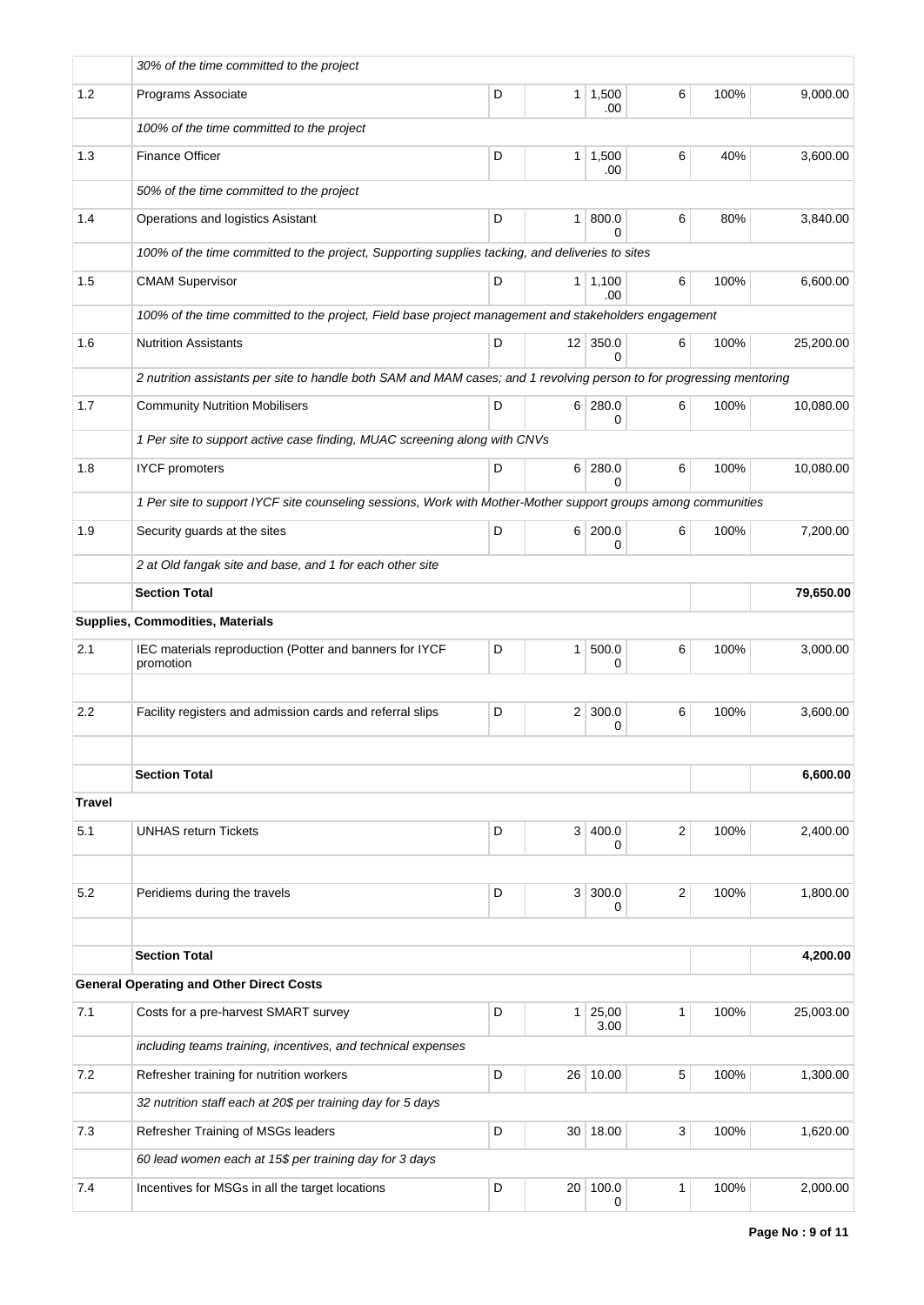|               | 30% of the time committed to the project                                                                              |   |                 |                             |                |      |           |
|---------------|-----------------------------------------------------------------------------------------------------------------------|---|-----------------|-----------------------------|----------------|------|-----------|
| 1.2           | Programs Associate                                                                                                    | D |                 | $1 \mid 1,500$<br>.00       | 6              | 100% | 9,000.00  |
|               | 100% of the time committed to the project                                                                             |   |                 |                             |                |      |           |
| 1.3           | <b>Finance Officer</b>                                                                                                | D |                 | $1 \mid 1,500$<br>.00       | 6              | 40%  | 3,600.00  |
|               | 50% of the time committed to the project                                                                              |   |                 |                             |                |      |           |
| 1.4           | Operations and logistics Asistant                                                                                     | D |                 | 1   800.0<br>$\Omega$       | 6              | 80%  | 3,840.00  |
|               | 100% of the time committed to the project, Supporting supplies tacking, and deliveries to sites                       |   |                 |                             |                |      |           |
| 1.5           | <b>CMAM Supervisor</b>                                                                                                | D |                 | $1 \mid 1,100$<br>.00       | 6              | 100% | 6,600.00  |
|               | 100% of the time committed to the project, Field base project management and stakeholders engagement                  |   |                 |                             |                |      |           |
| 1.6           | <b>Nutrition Assistants</b>                                                                                           | D |                 | $12 \mid 350.0$<br>$\Omega$ | 6              | 100% | 25,200.00 |
|               | 2 nutrition assistants per site to handle both SAM and MAM cases; and 1 revolving person to for progressing mentoring |   |                 |                             |                |      |           |
| 1.7           | <b>Community Nutrition Mobilisers</b>                                                                                 | D |                 | 6 280.0<br>0                | 6              | 100% | 10,080.00 |
|               | 1 Per site to support active case finding, MUAC screening along with CNVs                                             |   |                 |                             |                |      |           |
| 1.8           | <b>IYCF</b> promoters                                                                                                 | D |                 | 6 280.0<br>$\Omega$         | 6              | 100% | 10,080.00 |
|               | 1 Per site to support IYCF site counseling sessions, Work with Mother-Mother support groups among communities         |   |                 |                             |                |      |           |
| 1.9           | Security guards at the sites                                                                                          | D |                 | 6 200.0<br>0                | 6              | 100% | 7,200.00  |
|               | 2 at Old fangak site and base, and 1 for each other site                                                              |   |                 |                             |                |      |           |
|               | <b>Section Total</b>                                                                                                  |   |                 |                             |                |      | 79,650.00 |
|               | Supplies, Commodities, Materials                                                                                      |   |                 |                             |                |      |           |
| 2.1           | IEC materials reproduction (Potter and banners for IYCF<br>promotion                                                  | D | 1 <sup>1</sup>  | 500.0<br>0                  | 6              | 100% | 3,000.00  |
|               |                                                                                                                       |   |                 |                             |                |      |           |
| 2.2           | Facility registers and admission cards and referral slips                                                             | D |                 | $2 \mid 300.0$<br>0         | 6              | 100% | 3,600.00  |
|               |                                                                                                                       |   |                 |                             |                |      |           |
|               | <b>Section Total</b>                                                                                                  |   |                 |                             |                |      | 6,600.00  |
| <b>Travel</b> |                                                                                                                       |   |                 |                             |                |      |           |
| 5.1           | <b>UNHAS return Tickets</b>                                                                                           | D | 3 <sup>1</sup>  | 400.0<br>0                  | $\overline{2}$ | 100% | 2,400.00  |
|               |                                                                                                                       |   |                 |                             |                |      |           |
| 5.2           | Peridiems during the travels                                                                                          | D |                 | 3 300.0<br>$\Omega$         | $\mathbf{2}$   | 100% | 1,800.00  |
|               | <b>Section Total</b>                                                                                                  |   |                 |                             |                |      | 4,200.00  |
|               | <b>General Operating and Other Direct Costs</b>                                                                       |   |                 |                             |                |      |           |
| 7.1           | Costs for a pre-harvest SMART survey                                                                                  | D |                 | 1 25,00<br>3.00             | $\mathbf{1}$   | 100% | 25,003.00 |
|               | including teams training, incentives, and technical expenses                                                          |   |                 |                             |                |      |           |
| 7.2           | Refresher training for nutrition workers                                                                              | D | 26 <sup>1</sup> | 10.00                       | 5              | 100% | 1,300.00  |
|               | 32 nutrition staff each at 20\$ per training day for 5 days                                                           |   |                 |                             |                |      |           |
| 7.3           | Refresher Training of MSGs leaders                                                                                    | D |                 | 30 18.00                    | 3              | 100% | 1,620.00  |
|               | 60 lead women each at 15\$ per training day for 3 days                                                                |   |                 |                             |                |      |           |
| 7.4           | Incentives for MSGs in all the target locations                                                                       | D | 20              | 100.0<br>0                  | 1              | 100% | 2,000.00  |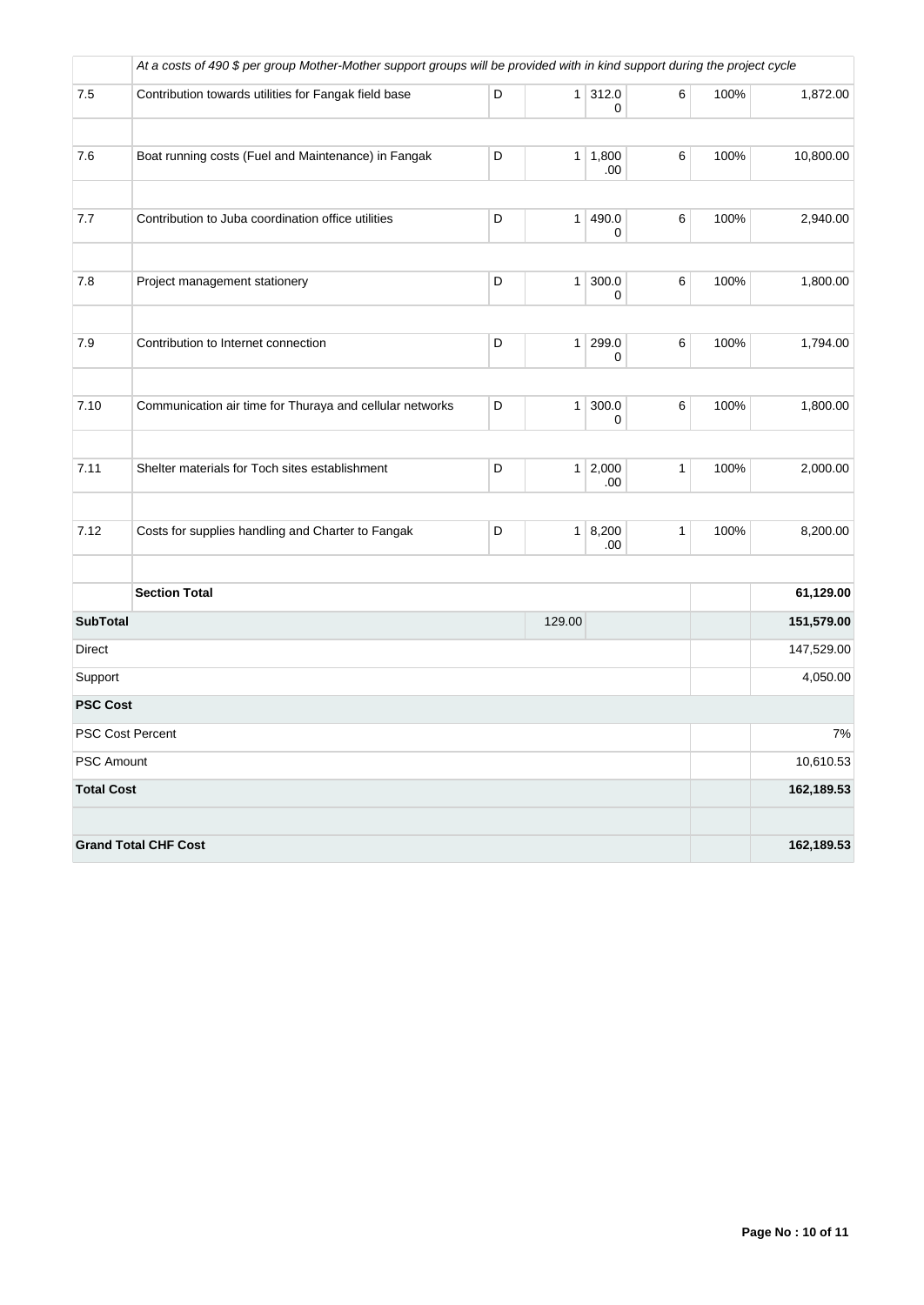|                   | At a costs of 490 \$ per group Mother-Mother support groups will be provided with in kind support during the project cycle |   |                |                |              |      |            |
|-------------------|----------------------------------------------------------------------------------------------------------------------------|---|----------------|----------------|--------------|------|------------|
| 7.5               | Contribution towards utilities for Fangak field base                                                                       | D | 1 <sup>1</sup> | 312.0<br>0     | 6            | 100% | 1,872.00   |
| 7.6               | Boat running costs (Fuel and Maintenance) in Fangak                                                                        | D | 1 <sup>1</sup> | 1,800<br>.00   | $\,6\,$      | 100% | 10,800.00  |
| 7.7               | Contribution to Juba coordination office utilities                                                                         | D | 1              | 490.0<br>0     | $\,6\,$      | 100% | 2,940.00   |
| 7.8               | Project management stationery                                                                                              | D | 1              | 300.0<br>0     | 6            | 100% | 1,800.00   |
| 7.9               | Contribution to Internet connection                                                                                        | D | 1 <sup>1</sup> | 299.0<br>0     | 6            | 100% | 1,794.00   |
| 7.10              | Communication air time for Thuraya and cellular networks                                                                   | D | $\mathbf{1}$   | 300.0<br>0     | 6            | 100% | 1,800.00   |
| 7.11              | Shelter materials for Toch sites establishment                                                                             | D |                | 1 2,000<br>.00 | $\mathbf{1}$ | 100% | 2,000.00   |
| 7.12              | Costs for supplies handling and Charter to Fangak                                                                          | D | 1 <sup>1</sup> | 8,200<br>.00   | $\mathbf{1}$ | 100% | 8,200.00   |
|                   | <b>Section Total</b>                                                                                                       |   |                |                |              |      | 61,129.00  |
| <b>SubTotal</b>   |                                                                                                                            |   | 129.00         |                |              |      | 151,579.00 |
| Direct            |                                                                                                                            |   |                |                |              |      | 147,529.00 |
| Support           |                                                                                                                            |   |                |                |              |      | 4,050.00   |
| <b>PSC Cost</b>   |                                                                                                                            |   |                |                |              |      |            |
|                   | <b>PSC Cost Percent</b>                                                                                                    |   |                |                |              |      | 7%         |
| <b>PSC Amount</b> |                                                                                                                            |   |                |                |              |      | 10,610.53  |
| <b>Total Cost</b> |                                                                                                                            |   |                |                |              |      | 162,189.53 |
|                   | <b>Grand Total CHF Cost</b>                                                                                                |   |                |                |              |      | 162,189.53 |